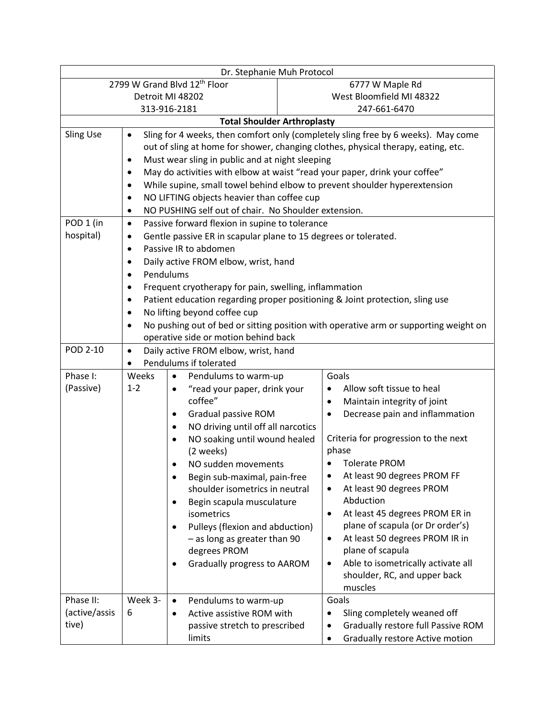| Dr. Stephanie Muh Protocol                                                                                         |                                                                                      |                                                        |  |  |  |
|--------------------------------------------------------------------------------------------------------------------|--------------------------------------------------------------------------------------|--------------------------------------------------------|--|--|--|
|                                                                                                                    | 2799 W Grand Blvd 12th Floor                                                         | 6777 W Maple Rd                                        |  |  |  |
| Detroit MI 48202                                                                                                   |                                                                                      | West Bloomfield MI 48322                               |  |  |  |
| 313-916-2181                                                                                                       |                                                                                      | 247-661-6470                                           |  |  |  |
| <b>Total Shoulder Arthroplasty</b>                                                                                 |                                                                                      |                                                        |  |  |  |
| <b>Sling Use</b><br>Sling for 4 weeks, then comfort only (completely sling free by 6 weeks). May come<br>$\bullet$ |                                                                                      |                                                        |  |  |  |
|                                                                                                                    | out of sling at home for shower, changing clothes, physical therapy, eating, etc.    |                                                        |  |  |  |
| $\bullet$                                                                                                          | Must wear sling in public and at night sleeping                                      |                                                        |  |  |  |
| $\bullet$                                                                                                          | May do activities with elbow at waist "read your paper, drink your coffee"           |                                                        |  |  |  |
| $\bullet$                                                                                                          | While supine, small towel behind elbow to prevent shoulder hyperextension            |                                                        |  |  |  |
| $\bullet$                                                                                                          | NO LIFTING objects heavier than coffee cup                                           |                                                        |  |  |  |
| NO PUSHING self out of chair. No Shoulder extension.<br>$\bullet$                                                  |                                                                                      |                                                        |  |  |  |
| POD 1 (in<br>Passive forward flexion in supine to tolerance<br>$\bullet$                                           |                                                                                      |                                                        |  |  |  |
| hospital)<br>٠                                                                                                     | Gentle passive ER in scapular plane to 15 degrees or tolerated.                      |                                                        |  |  |  |
| Passive IR to abdomen<br>$\bullet$                                                                                 |                                                                                      |                                                        |  |  |  |
| Daily active FROM elbow, wrist, hand<br>٠                                                                          |                                                                                      |                                                        |  |  |  |
| Pendulums<br>$\bullet$                                                                                             |                                                                                      |                                                        |  |  |  |
| Frequent cryotherapy for pain, swelling, inflammation<br>$\bullet$                                                 |                                                                                      |                                                        |  |  |  |
| Patient education regarding proper positioning & Joint protection, sling use<br>٠                                  |                                                                                      |                                                        |  |  |  |
| No lifting beyond coffee cup<br>$\bullet$                                                                          |                                                                                      |                                                        |  |  |  |
| $\bullet$                                                                                                          | No pushing out of bed or sitting position with operative arm or supporting weight on |                                                        |  |  |  |
|                                                                                                                    | operative side or motion behind back                                                 |                                                        |  |  |  |
| POD 2-10<br>$\bullet$                                                                                              | Daily active FROM elbow, wrist, hand                                                 |                                                        |  |  |  |
| Pendulums if tolerated<br>$\bullet$                                                                                |                                                                                      |                                                        |  |  |  |
| Phase I:<br>Weeks                                                                                                  | Pendulums to warm-up<br>$\bullet$                                                    | Goals                                                  |  |  |  |
| (Passive)<br>$1 - 2$                                                                                               | "read your paper, drink your<br>$\bullet$                                            | Allow soft tissue to heal<br>٠                         |  |  |  |
|                                                                                                                    | coffee"                                                                              | Maintain integrity of joint<br>٠                       |  |  |  |
|                                                                                                                    | Gradual passive ROM<br>٠                                                             | Decrease pain and inflammation<br>٠                    |  |  |  |
|                                                                                                                    | NO driving until off all narcotics<br>$\bullet$                                      |                                                        |  |  |  |
|                                                                                                                    | NO soaking until wound healed<br>$\bullet$                                           | Criteria for progression to the next                   |  |  |  |
|                                                                                                                    | (2 weeks)                                                                            | phase                                                  |  |  |  |
|                                                                                                                    | NO sudden movements                                                                  | <b>Tolerate PROM</b>                                   |  |  |  |
|                                                                                                                    | Begin sub-maximal, pain-free<br>$\bullet$                                            | At least 90 degrees PROM FF<br>٠                       |  |  |  |
|                                                                                                                    | shoulder isometrics in neutral                                                       | At least 90 degrees PROM<br>٠                          |  |  |  |
|                                                                                                                    | Begin scapula musculature<br>٠                                                       | Abduction                                              |  |  |  |
|                                                                                                                    | isometrics                                                                           | At least 45 degrees PROM ER in<br>٠                    |  |  |  |
|                                                                                                                    | Pulleys (flexion and abduction)<br>٠                                                 | plane of scapula (or Dr order's)                       |  |  |  |
|                                                                                                                    | - as long as greater than 90                                                         | At least 50 degrees PROM IR in<br>٠                    |  |  |  |
|                                                                                                                    | degrees PROM                                                                         | plane of scapula<br>Able to isometrically activate all |  |  |  |
|                                                                                                                    | Gradually progress to AAROM<br>٠                                                     | $\bullet$<br>shoulder, RC, and upper back              |  |  |  |
|                                                                                                                    |                                                                                      | muscles                                                |  |  |  |
| Phase II:<br>Week 3-                                                                                               | Pendulums to warm-up<br>$\bullet$                                                    | Goals                                                  |  |  |  |
| (active/assis<br>6                                                                                                 | Active assistive ROM with<br>$\bullet$                                               | Sling completely weaned off<br>٠                       |  |  |  |
| tive)                                                                                                              | passive stretch to prescribed                                                        | Gradually restore full Passive ROM<br>٠                |  |  |  |
|                                                                                                                    | limits                                                                               | Gradually restore Active motion<br>٠                   |  |  |  |